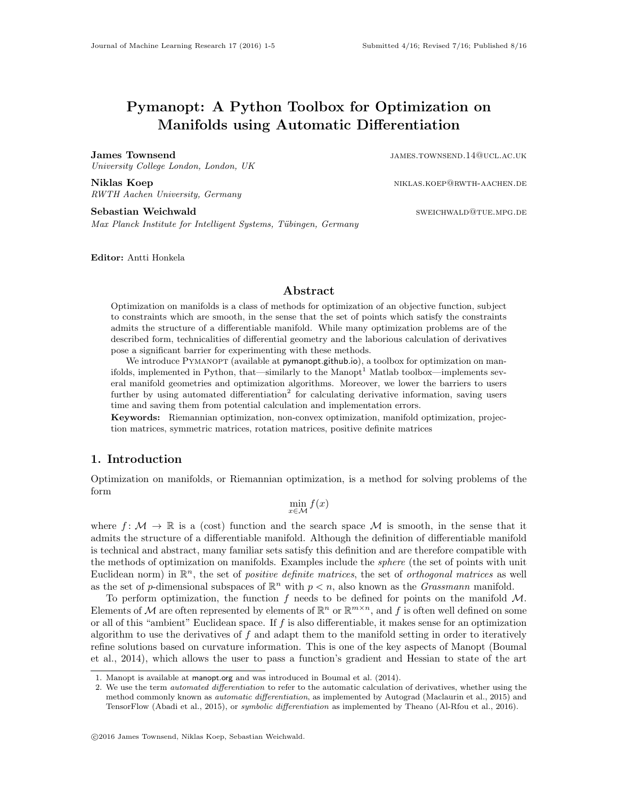# Pymanopt: A Python Toolbox for Optimization on Manifolds using Automatic Differentiation

James Townsend in the settlement of the state of the state of the state of the state of the state of the state of the state of the state of the state of the state of the state of the state of the state of the state of the University College London, London, UK

Niklas Koep niklas.koep@rwth-aachen.def/

RWTH Aachen University, Germany Sebastian Weichwald sweichwald sweichwald sweichwald sweichwald sweichwald sweichwald sweichwald sweichwald swei

Max Planck Institute for Intelligent Systems, Tübingen, Germany

Editor: Antti Honkela

#### Abstract

Optimization on manifolds is a class of methods for optimization of an objective function, subject to constraints which are smooth, in the sense that the set of points which satisfy the constraints admits the structure of a differentiable manifold. While many optimization problems are of the described form, technicalities of differential geometry and the laborious calculation of derivatives pose a significant barrier for experimenting with these methods.

We introduce PYMANOPT (available at [pymanopt.github.io](https://pymanopt.github.io)), a toolbox for optimization on man-ifolds, implemented in Python, that—similarly to the Manopt<sup>[1](#page-0-0)</sup> Matlab toolbox—implements several manifold geometries and optimization algorithms. Moreover, we lower the barriers to users further by using automated differentiation<sup>[2](#page-0-1)</sup> for calculating derivative information, saving users time and saving them from potential calculation and implementation errors.

Keywords: Riemannian optimization, non-convex optimization, manifold optimization, projection matrices, symmetric matrices, rotation matrices, positive definite matrices

# 1. Introduction

Optimization on manifolds, or Riemannian optimization, is a method for solving problems of the form

 $\min_{x \in \mathcal{M}} f(x)$ 

where  $f: \mathcal{M} \to \mathbb{R}$  is a (cost) function and the search space  $\mathcal{M}$  is smooth, in the sense that it admits the structure of a differentiable manifold. Although the definition of differentiable manifold is technical and abstract, many familiar sets satisfy this definition and are therefore compatible with the methods of optimization on manifolds. Examples include the sphere (the set of points with unit Euclidean norm) in  $\mathbb{R}^n$ , the set of *positive definite matrices*, the set of *orthogonal matrices* as well as the set of p-dimensional subspaces of  $\mathbb{R}^n$  with  $p < n$ , also known as the *Grassmann* manifold.

To perform optimization, the function  $f$  needs to be defined for points on the manifold  $M$ . Elements of M are often represented by elements of  $\mathbb{R}^n$  or  $\mathbb{R}^{m \times n}$ , and f is often well defined on some or all of this "ambient" Euclidean space. If  $f$  is also differentiable, it makes sense for an optimization algorithm to use the derivatives of  $f$  and adapt them to the manifold setting in order to iteratively refine solutions based on curvature information. This is one of the key aspects of Manopt [\(Boumal](#page-4-0) [et al., 2014\)](#page-4-0), which allows the user to pass a function's gradient and Hessian to state of the art

<span id="page-0-0"></span><sup>1.</sup> Manopt is available at [manopt.org](http://manopt.org) and was introduced in [Boumal et al.](#page-4-0) [\(2014\)](#page-4-0).

<span id="page-0-1"></span><sup>2.</sup> We use the term automated differentiation to refer to the automatic calculation of derivatives, whether using the method commonly known as automatic differentiation, as implemented by Autograd [\(Maclaurin et al., 2015\)](#page-4-1) and TensorFlow [\(Abadi et al., 2015\)](#page-4-2), or symbolic differentiation as implemented by Theano [\(Al-Rfou et al., 2016\)](#page-4-3).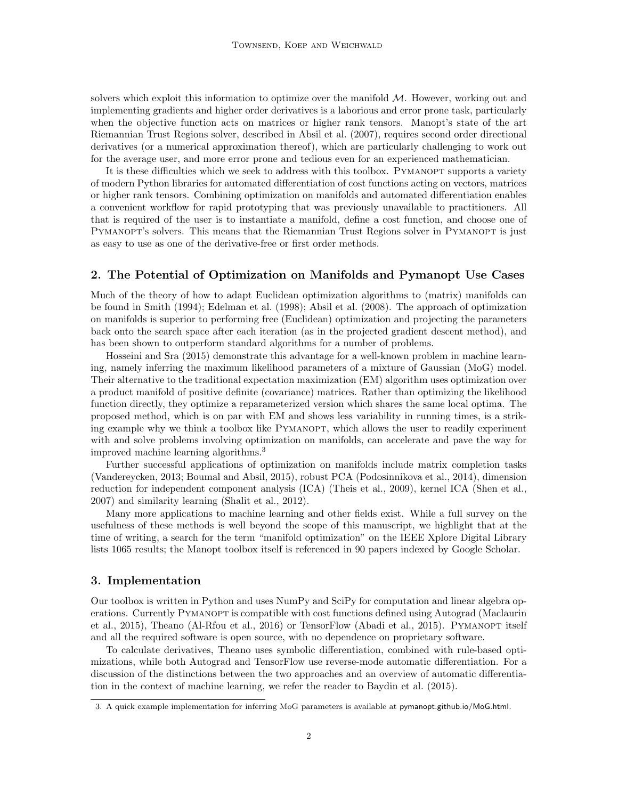solvers which exploit this information to optimize over the manifold  $M$ . However, working out and implementing gradients and higher order derivatives is a laborious and error prone task, particularly when the objective function acts on matrices or higher rank tensors. Manopt's state of the art Riemannian Trust Regions solver, described in [Absil et al.](#page-4-4) [\(2007\)](#page-4-4), requires second order directional derivatives (or a numerical approximation thereof), which are particularly challenging to work out for the average user, and more error prone and tedious even for an experienced mathematician.

It is these difficulties which we seek to address with this toolbox. PYMANOPT supports a variety of modern Python libraries for automated differentiation of cost functions acting on vectors, matrices or higher rank tensors. Combining optimization on manifolds and automated differentiation enables a convenient workflow for rapid prototyping that was previously unavailable to practitioners. All that is required of the user is to instantiate a manifold, define a cost function, and choose one of PYMANOPT's solvers. This means that the Riemannian Trust Regions solver in PYMANOPT is just as easy to use as one of the derivative-free or first order methods.

# 2. The Potential of Optimization on Manifolds and Pymanopt Use Cases

Much of the theory of how to adapt Euclidean optimization algorithms to (matrix) manifolds can be found in [Smith](#page-4-5) [\(1994\)](#page-4-5); [Edelman et al.](#page-4-6) [\(1998\)](#page-4-6); [Absil et al.](#page-4-7) [\(2008\)](#page-4-7). The approach of optimization on manifolds is superior to performing free (Euclidean) optimization and projecting the parameters back onto the search space after each iteration (as in the projected gradient descent method), and has been shown to outperform standard algorithms for a number of problems.

[Hosseini and Sra](#page-4-8) [\(2015\)](#page-4-8) demonstrate this advantage for a well-known problem in machine learning, namely inferring the maximum likelihood parameters of a mixture of Gaussian (MoG) model. Their alternative to the traditional expectation maximization (EM) algorithm uses optimization over a product manifold of positive definite (covariance) matrices. Rather than optimizing the likelihood function directly, they optimize a reparameterized version which shares the same local optima. The proposed method, which is on par with EM and shows less variability in running times, is a striking example why we think a toolbox like PYMANOPT, which allows the user to readily experiment with and solve problems involving optimization on manifolds, can accelerate and pave the way for improved machine learning algorithms.[3](#page-1-0)

Further successful applications of optimization on manifolds include matrix completion tasks [\(Vandereycken, 2013;](#page-4-9) [Boumal and Absil, 2015\)](#page-4-10), robust PCA [\(Podosinnikova et al., 2014\)](#page-4-11), dimension reduction for independent component analysis (ICA) [\(Theis et al., 2009\)](#page-4-12), kernel ICA [\(Shen et al.,](#page-4-13) [2007\)](#page-4-13) and similarity learning [\(Shalit et al., 2012\)](#page-4-14).

Many more applications to machine learning and other fields exist. While a full survey on the usefulness of these methods is well beyond the scope of this manuscript, we highlight that at the time of writing, a search for the term "manifold optimization" on the IEEE Xplore Digital Library lists 1065 results; the Manopt toolbox itself is referenced in 90 papers indexed by Google Scholar.

#### 3. Implementation

Our toolbox is written in Python and uses NumPy and SciPy for computation and linear algebra op-erations. Currently PYMANOPT is compatible with cost functions defined using Autograd [\(Maclaurin](#page-4-1) [et al., 2015\)](#page-4-1), Theano [\(Al-Rfou et al., 2016\)](#page-4-3) or TensorFlow [\(Abadi et al., 2015\)](#page-4-2). PYMANOPT itself and all the required software is open source, with no dependence on proprietary software.

To calculate derivatives, Theano uses symbolic differentiation, combined with rule-based optimizations, while both Autograd and TensorFlow use reverse-mode automatic differentiation. For a discussion of the distinctions between the two approaches and an overview of automatic differentiation in the context of machine learning, we refer the reader to [Baydin et al.](#page-4-15) [\(2015\)](#page-4-15).

<span id="page-1-0"></span><sup>3.</sup> A quick example implementation for inferring MoG parameters is available at [pymanopt.github.io/MoG.html](https://pymanopt.github.io/MoG.html).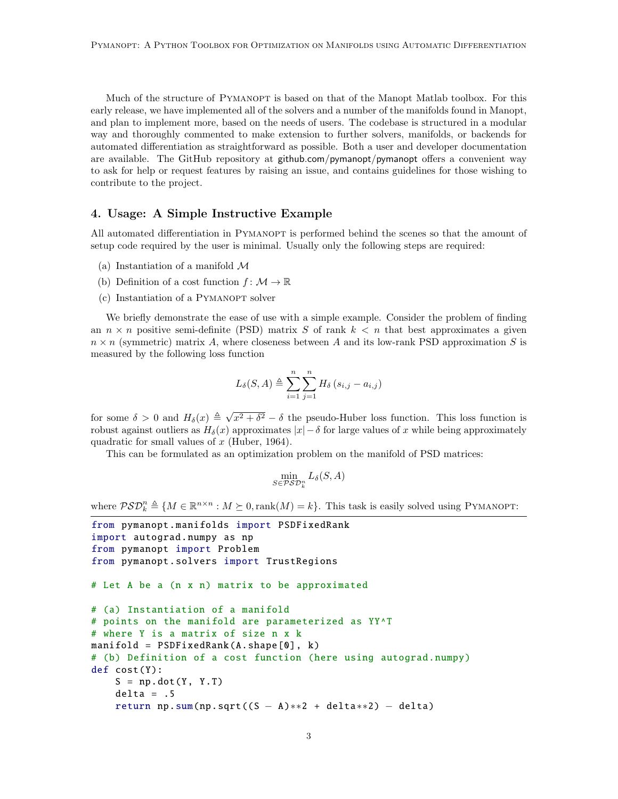Much of the structure of PYMANOPT is based on that of the Manopt Matlab toolbox. For this early release, we have implemented all of the solvers and a number of the manifolds found in Manopt, and plan to implement more, based on the needs of users. The codebase is structured in a modular way and thoroughly commented to make extension to further solvers, manifolds, or backends for automated differentiation as straightforward as possible. Both a user and developer documentation are available. The GitHub repository at [github.com/pymanopt/pymanopt](https://github.com/pymanopt/pymanopt) offers a convenient way to ask for help or request features by raising an issue, and contains guidelines for those wishing to contribute to the project.

# 4. Usage: A Simple Instructive Example

All automated differentiation in PYMANOPT is performed behind the scenes so that the amount of setup code required by the user is minimal. Usually only the following steps are required:

- (a) Instantiation of a manifold  $\mathcal M$
- (b) Definition of a cost function  $f: \mathcal{M} \to \mathbb{R}$
- (c) Instantiation of a PYMANOPT solver

We briefly demonstrate the ease of use with a simple example. Consider the problem of finding an  $n \times n$  positive semi-definite (PSD) matrix S of rank  $k < n$  that best approximates a given  $n \times n$  (symmetric) matrix A, where closeness between A and its low-rank PSD approximation S is measured by the following loss function

$$
L_{\delta}(S, A) \triangleq \sum_{i=1}^{n} \sum_{j=1}^{n} H_{\delta}(s_{i,j} - a_{i,j})
$$

for some  $\delta > 0$  and  $H_{\delta}(x) \triangleq \sqrt{2}$  $x^2 + \delta^2 - \delta$  the pseudo-Huber loss function. This loss function is robust against outliers as  $H_\delta(x)$  approximates  $|x|-\delta$  for large values of x while being approximately quadratic for small values of  $x$  [\(Huber, 1964\)](#page-4-16).

This can be formulated as an optimization problem on the manifold of PSD matrices:

$$
\min_{S \in \mathcal{PSD}_k^n} L_{\delta}(S, A)
$$

where  $\mathcal{PSD}_k^n \triangleq \{M \in \mathbb{R}^{n \times n} : M \succeq 0, \text{rank}(M) = k\}.$  This task is easily solved using PYMANOPT:

```
from pymanopt . manifolds import PSDFixedRank
import autograd.numpy as np
from pymanopt import Problem
from pymanopt .solvers import TrustRegions
# Let A be a (n x n) matrix to be approximated
# (a) Instantiation of a manifold
# points on the manifold are parameterized as YY^T
# where Y is a matrix of size n x k
manifold = PSDFixedRank (A.shape [0], k)
# (b) Definition of a cost function (here using autograd.numpy)
def cost(Y):
    S = np.dot(Y, Y.T)delta = .5return np.sum(np.sqrt((S - A) * * 2 + delta * * 2) - delta)
```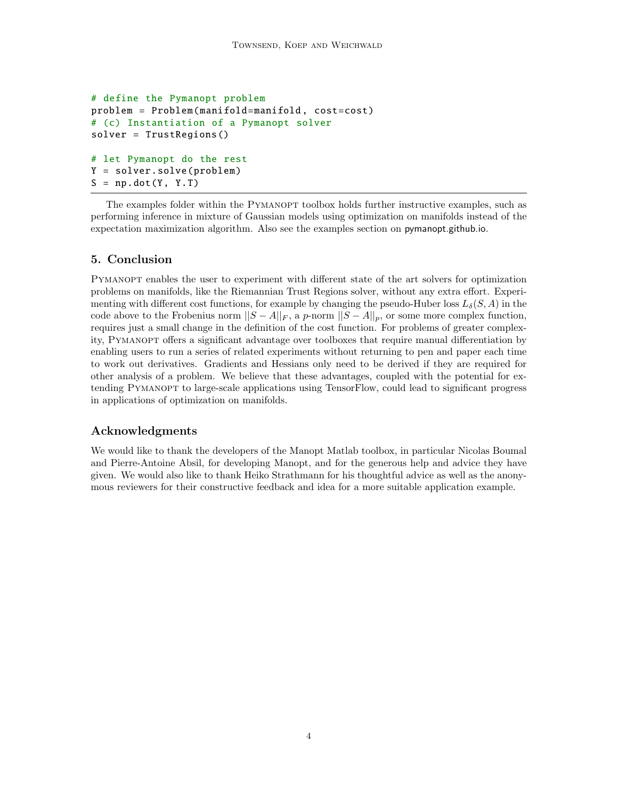```
# define the Pymanopt problem
problem = Problem(manifold=manifold , cost=cost)
# (c) Instantiation of a Pymanopt solver
solver = TrustRegions ()
# let Pymanopt do the rest
Y = solver.solve(problem)
S = np.dot(Y, Y.T)
```
The examples folder within the PYMANOPT toolbox holds further instructive examples, such as performing inference in mixture of Gaussian models using optimization on manifolds instead of the expectation maximization algorithm. Also see the examples section on [pymanopt.github.io](http://pymanopt.github.io).

# 5. Conclusion

Pymanopt enables the user to experiment with different state of the art solvers for optimization problems on manifolds, like the Riemannian Trust Regions solver, without any extra effort. Experimenting with different cost functions, for example by changing the pseudo-Huber loss  $L_{\delta}(S, A)$  in the code above to the Frobenius norm  $||S - A||_F$ , a p-norm  $||S - A||_p$ , or some more complex function, requires just a small change in the definition of the cost function. For problems of greater complexity, Pymanopt offers a significant advantage over toolboxes that require manual differentiation by enabling users to run a series of related experiments without returning to pen and paper each time to work out derivatives. Gradients and Hessians only need to be derived if they are required for other analysis of a problem. We believe that these advantages, coupled with the potential for extending Pymanopt to large-scale applications using TensorFlow, could lead to significant progress in applications of optimization on manifolds.

#### Acknowledgments

We would like to thank the developers of the Manopt Matlab toolbox, in particular Nicolas Boumal and Pierre-Antoine Absil, for developing Manopt, and for the generous help and advice they have given. We would also like to thank Heiko Strathmann for his thoughtful advice as well as the anonymous reviewers for their constructive feedback and idea for a more suitable application example.